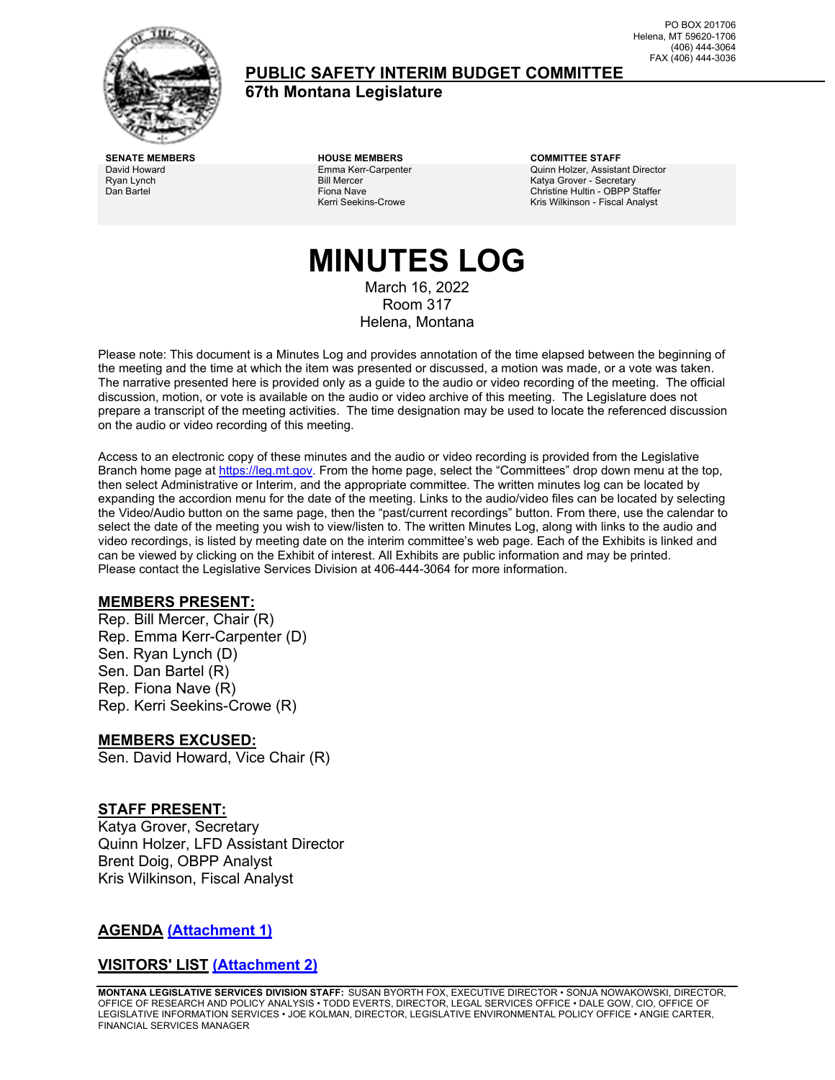

### **PUBLIC SAFETY INTERIM BUDGET COMMITTEE**

**67th Montana Legislature**

PO BOX 201706 Helena, MT 59620-1706 (406) 444-3064 FAX (406) 444-3036

David Howard Ryan Lynch Dan Bartel

Emma Kerr-Carpenter Bill Mercer Fiona Nave Kerri Seekins-Crowe

**SENATE MEMBERS HOUSE MEMBERS COMMITTEE STAFF** Quinn Holzer, Assistant Director Katya Grover - Secretary Christine Hultin - OBPP Staffer Kris Wilkinson - Fiscal Analyst

# **MINUTES LOG**

March 16, 2022 Room 317 Helena, Montana

Please note: This document is a Minutes Log and provides annotation of the time elapsed between the beginning of the meeting and the time at which the item was presented or discussed, a motion was made, or a vote was taken. The narrative presented here is provided only as a guide to the audio or video recording of the meeting. The official discussion, motion, or vote is available on the audio or video archive of this meeting. The Legislature does not prepare a transcript of the meeting activities. The time designation may be used to locate the referenced discussion on the audio or video recording of this meeting.

Access to an electronic copy of these minutes and the audio or video recording is provided from the Legislative Branch home page a[t https://leg.mt.gov.](http://legmt.gov/) From the home page, select the "Committees" drop down menu at the top, then select Administrative or Interim, and the appropriate committee. The written minutes log can be located by expanding the accordion menu for the date of the meeting. Links to the audio/video files can be located by selecting the Video/Audio button on the same page, then the "past/current recordings" button. From there, use the calendar to select the date of the meeting you wish to view/listen to. The written Minutes Log, along with links to the audio and video recordings, is listed by meeting date on the interim committee's web page. Each of the Exhibits is linked and can be viewed by clicking on the Exhibit of interest. All Exhibits are public information and may be printed. Please contact the Legislative Services Division at 406-444-3064 for more information.

#### **MEMBERS PRESENT:**

Rep. Bill Mercer, Chair (R) Rep. Emma Kerr-Carpenter (D) Sen. Ryan Lynch (D) Sen. Dan Bartel (R) Rep. Fiona Nave (R) Rep. Kerri Seekins-Crowe (R)

#### **MEMBERS EXCUSED:**

Sen. David Howard, Vice Chair (R)

#### **STAFF PRESENT:**

Katya Grover, Secretary Quinn Holzer, LFD Assistant Director Brent Doig, OBPP Analyst Kris Wilkinson, Fiscal Analyst

#### **AGENDA [\(Attachment 1\)](http://legmt.gov/)**

#### **VISITORS' LIST [\(Attachment 2\)](http://legmt.gov/)**

**MONTANA LEGISLATIVE SERVICES DIVISION STAFF:** SUSAN BYORTH FOX, EXECUTIVE DIRECTOR • SONJA NOWAKOWSKI, DIRECTOR, OFFICE OF RESEARCH AND POLICY ANALYSIS • TODD EVERTS, DIRECTOR, LEGAL SERVICES OFFICE • DALE GOW, CIO, OFFICE OF LEGISLATIVE INFORMATION SERVICES • JOE KOLMAN, DIRECTOR, LEGISLATIVE ENVIRONMENTAL POLICY OFFICE • ANGIE CARTER, FINANCIAL SERVICES MANAGER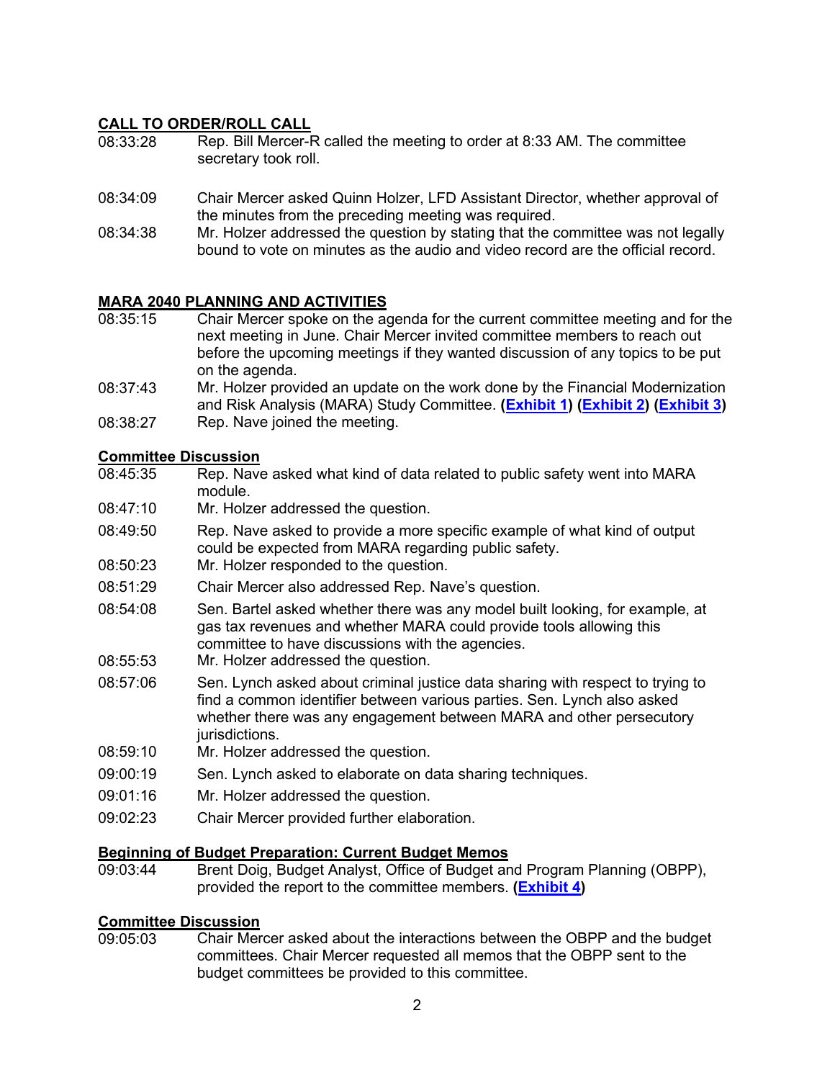#### **CALL TO ORDER/ROLL CALL**

- 08:33:28 Rep. Bill Mercer-R called the meeting to order at 8:33 AM. The committee secretary took roll.
- 08:34:09 Chair Mercer asked Quinn Holzer, LFD Assistant Director, whether approval of the minutes from the preceding meeting was required.
- 08:34:38 Mr. Holzer addressed the question by stating that the committee was not legally bound to vote on minutes as the audio and video record are the official record.

#### **MARA 2040 PLANNING AND ACTIVITIES**

- 08:35:15 Chair Mercer spoke on the agenda for the current committee meeting and for the next meeting in June. Chair Mercer invited committee members to reach out before the upcoming meetings if they wanted discussion of any topics to be put on the agenda.
- 08:37:43 Mr. Holzer provided an update on the work done by the Financial Modernization and Risk Analysis (MARA) Study Committee. **[\(Exhibit 1\)](https://leg.mt.gov/content/publications/fiscal/2023-Interim/March-2022/Short-2040-Model-graphics.pdf) [\(Exhibit 2\)](https://leg.mt.gov/content/publications/fiscal/2023-Interim/IBC-D/MARA-Model-Methodology.pdf) [\(Exhibit 3\)](https://leg.mt.gov/content/publications/fiscal/2023-Interim/IBC-D/Public-Safety.pdf)**
- 08:38:27 Rep. Nave joined the meeting.

### **Committee Discussion**<br>08:45:35 Rep. Nave

- Rep. Nave asked what kind of data related to public safety went into MARA module.
- 08:47:10 Mr. Holzer addressed the question.
- 08:49:50 Rep. Nave asked to provide a more specific example of what kind of output could be expected from MARA regarding public safety.
- 08:50:23 Mr. Holzer responded to the question.
- 08:51:29 Chair Mercer also addressed Rep. Nave's question.
- 08:54:08 Sen. Bartel asked whether there was any model built looking, for example, at gas tax revenues and whether MARA could provide tools allowing this committee to have discussions with the agencies.
- 08:55:53 Mr. Holzer addressed the question.
- 08:57:06 Sen. Lynch asked about criminal justice data sharing with respect to trying to find a common identifier between various parties. Sen. Lynch also asked whether there was any engagement between MARA and other persecutory jurisdictions.
- 08:59:10 Mr. Holzer addressed the question.
- 09:00:19 Sen. Lynch asked to elaborate on data sharing techniques.
- 09:01:16 Mr. Holzer addressed the question.
- 09:02:23 Chair Mercer provided further elaboration.

### **Beginning of Budget Preparation: Current Budget Memos**

Brent Doig, Budget Analyst, Office of Budget and Program Planning (OBPP), provided the report to the committee members. **[\(Exhibit 4\)](https://leg.mt.gov/content/publications/fiscal/2023-Interim/IBC-D/Memo-1-2025-Biennium-Budget-Timeline-V2.pdf)**

### **Committee Discussion**<br>09:05:03 Chair Mer

Chair Mercer asked about the interactions between the OBPP and the budget committees. Chair Mercer requested all memos that the OBPP sent to the budget committees be provided to this committee.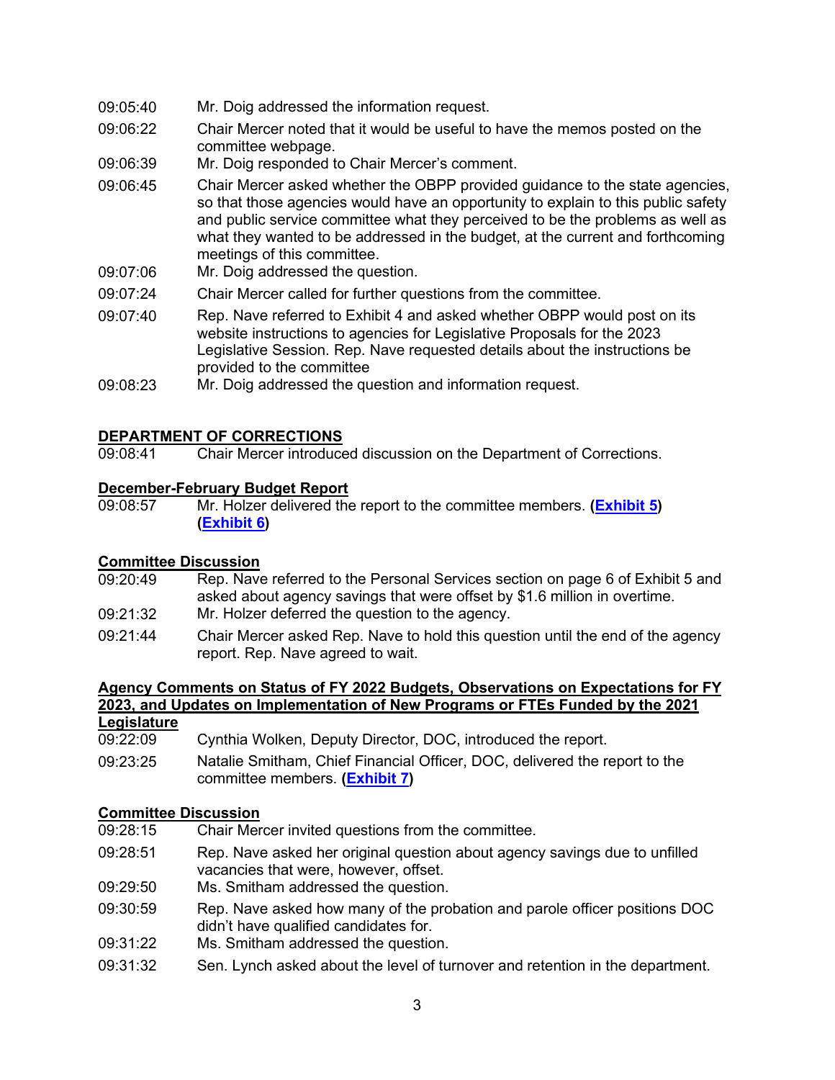- 09:05:40 Mr. Doig addressed the information request.
- 09:06:22 Chair Mercer noted that it would be useful to have the memos posted on the committee webpage.
- 09:06:39 Mr. Doig responded to Chair Mercer's comment.
- 09:06:45 Chair Mercer asked whether the OBPP provided guidance to the state agencies, so that those agencies would have an opportunity to explain to this public safety and public service committee what they perceived to be the problems as well as what they wanted to be addressed in the budget, at the current and forthcoming meetings of this committee.
- 09:07:06 Mr. Doig addressed the question.
- 09:07:24 Chair Mercer called for further questions from the committee.
- 09:07:40 Rep. Nave referred to Exhibit 4 and asked whether OBPP would post on its website instructions to agencies for Legislative Proposals for the 2023 Legislative Session. Rep. Nave requested details about the instructions be provided to the committee
- 09:08:23 Mr. Doig addressed the question and information request.

#### **DEPARTMENT OF CORRECTIONS**

09:08:41 Chair Mercer introduced discussion on the Department of Corrections.

### **December-February Budget Report**<br>09:08:57 Mr. Holzer delivered the

09:08:57 Mr. Holzer delivered the report to the committee members. **[\(Exhibit 5\)](https://leg.mt.gov/content/publications/fiscal/2023-Interim/FY22-March/DOC.pdf) [\(Exhibit 6\)](https://leg.mt.gov/content/publications/fiscal/2023-Interim/IBC-D/Exhibit6.pdf)**

#### **Committee Discussion**

- 09:20:49 Rep. Nave referred to the Personal Services section on page 6 of Exhibit 5 and asked about agency savings that were offset by \$1.6 million in overtime.
- 09:21:32 Mr. Holzer deferred the question to the agency.
- 09:21:44 Chair Mercer asked Rep. Nave to hold this question until the end of the agency report. Rep. Nave agreed to wait.

### **Agency Comments on Status of FY 2022 Budgets, Observations on Expectations for FY 2023, and Updates on Implementation of New Programs or FTEs Funded by the 2021**

- **Legislature**<br>09:22:09
- Cynthia Wolken, Deputy Director, DOC, introduced the report.
- 09:23:25 Natalie Smitham, Chief Financial Officer, DOC, delivered the report to the committee members. **[\(Exhibit 7\)](https://leg.mt.gov/content/publications/fiscal/2023-Interim/IBC-D/DOC_FTE_StatusUpdate.pdf)**

### **Committee Discussion**<br>09:28:15 Chair Mer

- Chair Mercer invited questions from the committee.
- 09:28:51 Rep. Nave asked her original question about agency savings due to unfilled vacancies that were, however, offset.
- 09:29:50 Ms. Smitham addressed the question.
- 09:30:59 Rep. Nave asked how many of the probation and parole officer positions DOC didn't have qualified candidates for.
- 09:31:22 Ms. Smitham addressed the question.
- 09:31:32 Sen. Lynch asked about the level of turnover and retention in the department.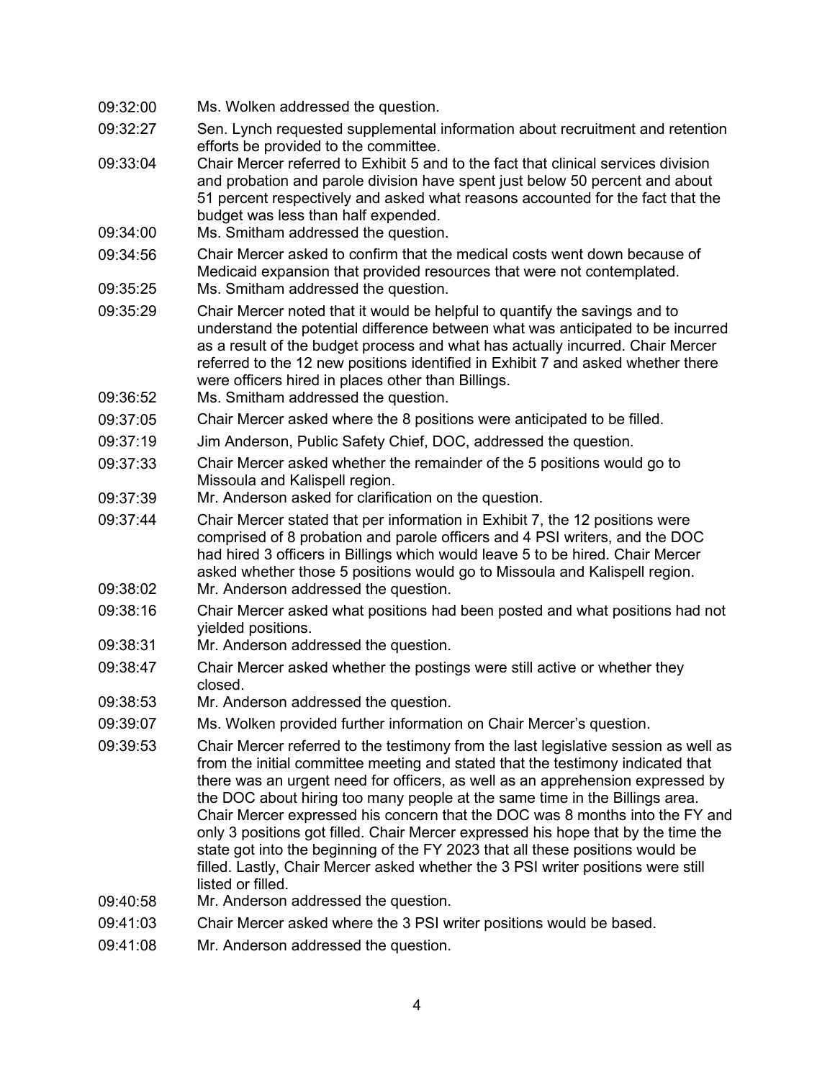- 09:32:00 Ms. Wolken addressed the question.
- 09:32:27 Sen. Lynch requested supplemental information about recruitment and retention efforts be provided to the committee.
- 09:33:04 Chair Mercer referred to Exhibit 5 and to the fact that clinical services division and probation and parole division have spent just below 50 percent and about 51 percent respectively and asked what reasons accounted for the fact that the budget was less than half expended.
- 09:34:00 Ms. Smitham addressed the question.
- 09:34:56 Chair Mercer asked to confirm that the medical costs went down because of Medicaid expansion that provided resources that were not contemplated.
- 09:35:25 Ms. Smitham addressed the question.
- 09:35:29 Chair Mercer noted that it would be helpful to quantify the savings and to understand the potential difference between what was anticipated to be incurred as a result of the budget process and what has actually incurred. Chair Mercer referred to the 12 new positions identified in Exhibit 7 and asked whether there were officers hired in places other than Billings.
- 09:36:52 Ms. Smitham addressed the question.
- 09:37:05 Chair Mercer asked where the 8 positions were anticipated to be filled.
- 09:37:19 Jim Anderson, Public Safety Chief, DOC, addressed the question.
- 09:37:33 Chair Mercer asked whether the remainder of the 5 positions would go to Missoula and Kalispell region.
- 09:37:39 Mr. Anderson asked for clarification on the question.
- 09:37:44 Chair Mercer stated that per information in Exhibit 7, the 12 positions were comprised of 8 probation and parole officers and 4 PSI writers, and the DOC had hired 3 officers in Billings which would leave 5 to be hired. Chair Mercer asked whether those 5 positions would go to Missoula and Kalispell region.
- 09:38:02 Mr. Anderson addressed the question.
- 09:38:16 Chair Mercer asked what positions had been posted and what positions had not yielded positions.
- 09:38:31 Mr. Anderson addressed the question.
- 09:38:47 Chair Mercer asked whether the postings were still active or whether they closed.
- 09:38:53 Mr. Anderson addressed the question.
- 09:39:07 Ms. Wolken provided further information on Chair Mercer's question.
- 09:39:53 Chair Mercer referred to the testimony from the last legislative session as well as from the initial committee meeting and stated that the testimony indicated that there was an urgent need for officers, as well as an apprehension expressed by the DOC about hiring too many people at the same time in the Billings area. Chair Mercer expressed his concern that the DOC was 8 months into the FY and only 3 positions got filled. Chair Mercer expressed his hope that by the time the state got into the beginning of the FY 2023 that all these positions would be filled. Lastly, Chair Mercer asked whether the 3 PSI writer positions were still listed or filled.
- 09:40:58 Mr. Anderson addressed the question.
- 09:41:03 Chair Mercer asked where the 3 PSI writer positions would be based.
- 09:41:08 Mr. Anderson addressed the question.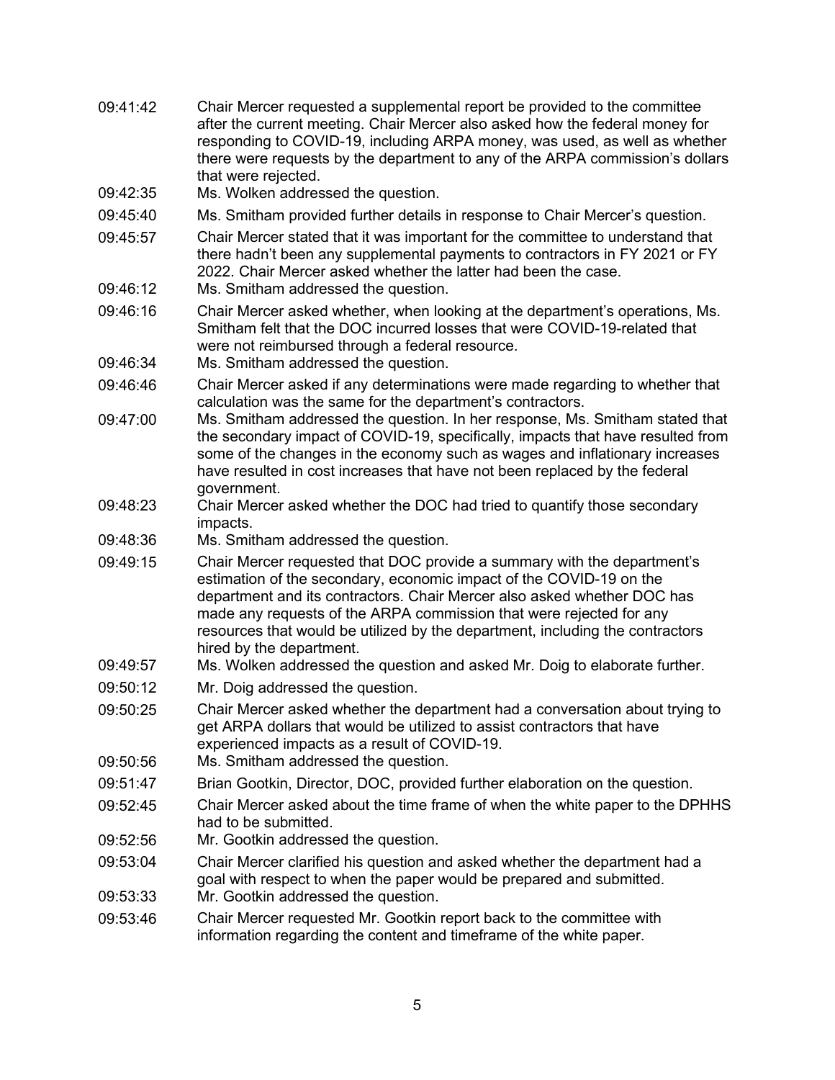- 09:41:42 Chair Mercer requested a supplemental report be provided to the committee after the current meeting. Chair Mercer also asked how the federal money for responding to COVID-19, including ARPA money, was used, as well as whether there were requests by the department to any of the ARPA commission's dollars that were rejected.
- 09:42:35 Ms. Wolken addressed the question.
- 09:45:40 Ms. Smitham provided further details in response to Chair Mercer's question.
- 09:45:57 Chair Mercer stated that it was important for the committee to understand that there hadn't been any supplemental payments to contractors in FY 2021 or FY 2022. Chair Mercer asked whether the latter had been the case.
- 09:46:12 Ms. Smitham addressed the question.
- 09:46:16 Chair Mercer asked whether, when looking at the department's operations, Ms. Smitham felt that the DOC incurred losses that were COVID-19-related that were not reimbursed through a federal resource.
- 09:46:34 Ms. Smitham addressed the question.
- 09:46:46 Chair Mercer asked if any determinations were made regarding to whether that calculation was the same for the department's contractors.
- 09:47:00 Ms. Smitham addressed the question. In her response, Ms. Smitham stated that the secondary impact of COVID-19, specifically, impacts that have resulted from some of the changes in the economy such as wages and inflationary increases have resulted in cost increases that have not been replaced by the federal government.
- 09:48:23 Chair Mercer asked whether the DOC had tried to quantify those secondary impacts.
- 09:48:36 Ms. Smitham addressed the question.
- 09:49:15 Chair Mercer requested that DOC provide a summary with the department's estimation of the secondary, economic impact of the COVID-19 on the department and its contractors. Chair Mercer also asked whether DOC has made any requests of the ARPA commission that were rejected for any resources that would be utilized by the department, including the contractors hired by the department.
- 09:49:57 Ms. Wolken addressed the question and asked Mr. Doig to elaborate further.
- 09:50:12 Mr. Doig addressed the question.
- 09:50:25 Chair Mercer asked whether the department had a conversation about trying to get ARPA dollars that would be utilized to assist contractors that have experienced impacts as a result of COVID-19.
- 09:50:56 Ms. Smitham addressed the question.
- 09:51:47 Brian Gootkin, Director, DOC, provided further elaboration on the question.
- 09:52:45 Chair Mercer asked about the time frame of when the white paper to the DPHHS had to be submitted.
- 09:52:56 Mr. Gootkin addressed the question.
- 09:53:04 Chair Mercer clarified his question and asked whether the department had a goal with respect to when the paper would be prepared and submitted.
- 09:53:33 Mr. Gootkin addressed the question.
- 09:53:46 Chair Mercer requested Mr. Gootkin report back to the committee with information regarding the content and timeframe of the white paper.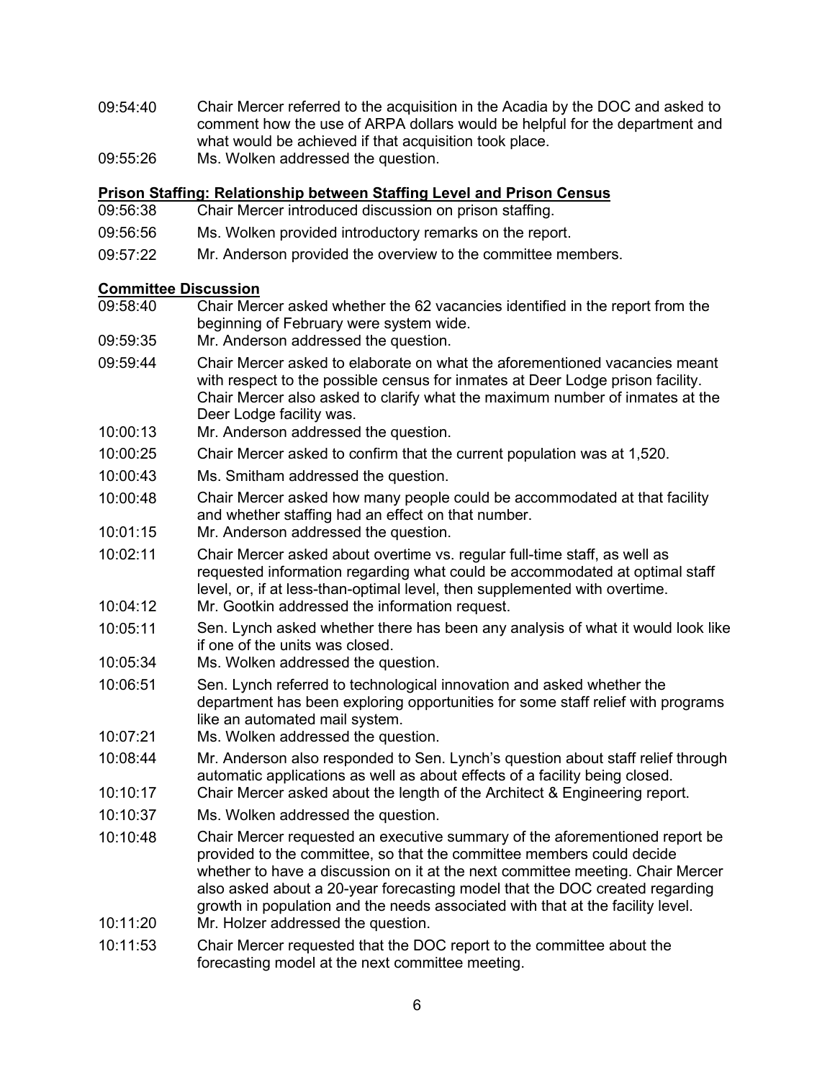- 09:54:40 Chair Mercer referred to the acquisition in the Acadia by the DOC and asked to comment how the use of ARPA dollars would be helpful for the department and what would be achieved if that acquisition took place.
- 09:55:26 Ms. Wolken addressed the question.

### **Prison Staffing: Relationship between Staffing Level and Prison Census**

- Chair Mercer introduced discussion on prison staffing.
- 09:56:56 Ms. Wolken provided introductory remarks on the report.
- 09:57:22 Mr. Anderson provided the overview to the committee members.

### **Committee Discussion**

- Chair Mercer asked whether the 62 vacancies identified in the report from the beginning of February were system wide.
- 09:59:35 Mr. Anderson addressed the question.
- 09:59:44 Chair Mercer asked to elaborate on what the aforementioned vacancies meant with respect to the possible census for inmates at Deer Lodge prison facility. Chair Mercer also asked to clarify what the maximum number of inmates at the Deer Lodge facility was.
- 10:00:13 Mr. Anderson addressed the question.
- 10:00:25 Chair Mercer asked to confirm that the current population was at 1,520.
- 10:00:43 Ms. Smitham addressed the question.
- 10:00:48 Chair Mercer asked how many people could be accommodated at that facility and whether staffing had an effect on that number.
- 10:01:15 Mr. Anderson addressed the question.
- 10:02:11 Chair Mercer asked about overtime vs. regular full-time staff, as well as requested information regarding what could be accommodated at optimal staff level, or, if at less-than-optimal level, then supplemented with overtime.
- 10:04:12 Mr. Gootkin addressed the information request.
- 10:05:11 Sen. Lynch asked whether there has been any analysis of what it would look like if one of the units was closed.
- 10:05:34 Ms. Wolken addressed the question.
- 10:06:51 Sen. Lynch referred to technological innovation and asked whether the department has been exploring opportunities for some staff relief with programs like an automated mail system.
- 10:07:21 Ms. Wolken addressed the question.
- 10:08:44 Mr. Anderson also responded to Sen. Lynch's question about staff relief through automatic applications as well as about effects of a facility being closed.
- 10:10:17 Chair Mercer asked about the length of the Architect & Engineering report.
- 10:10:37 Ms. Wolken addressed the question.
- 10:10:48 Chair Mercer requested an executive summary of the aforementioned report be provided to the committee, so that the committee members could decide whether to have a discussion on it at the next committee meeting. Chair Mercer also asked about a 20-year forecasting model that the DOC created regarding growth in population and the needs associated with that at the facility level.
- 10:11:20 Mr. Holzer addressed the question.
- 10:11:53 Chair Mercer requested that the DOC report to the committee about the forecasting model at the next committee meeting.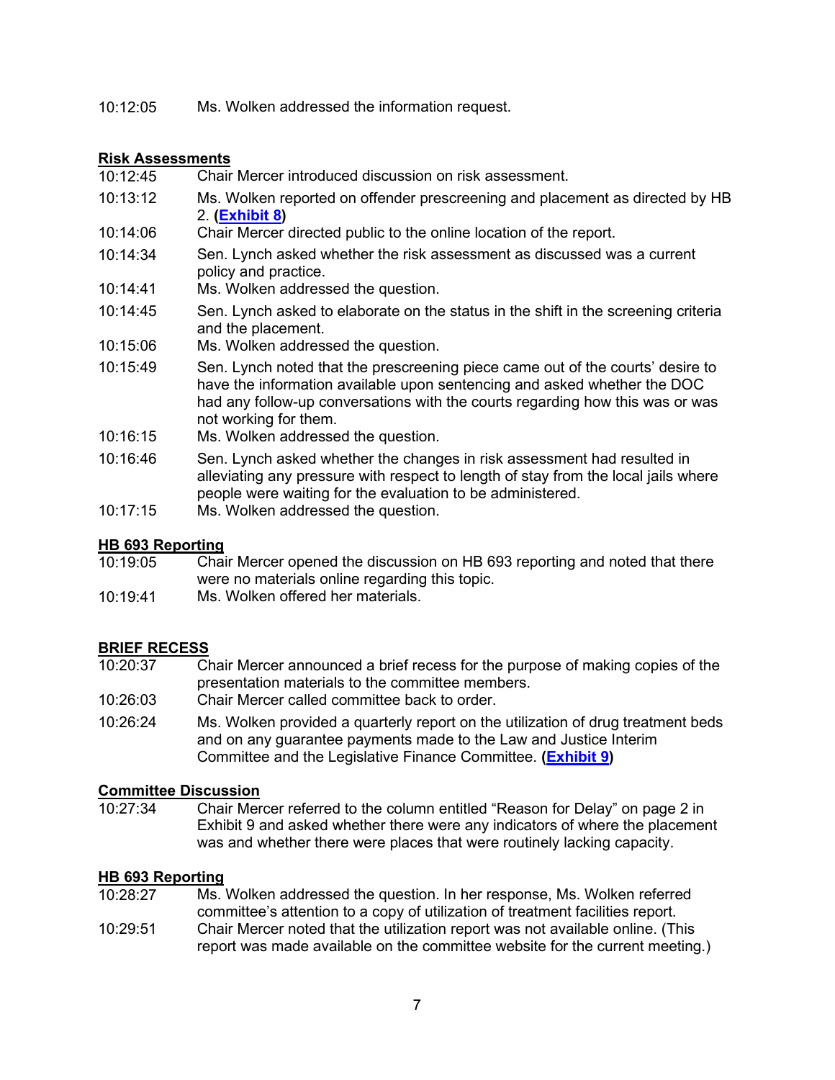10:12:05 Ms. Wolken addressed the information request.

### **Risk Assessments**

- Chair Mercer introduced discussion on risk assessment.
- 10:13:12 Ms. Wolken reported on offender prescreening and placement as directed by HB 2. **[\(Exhibit 8\)](https://leg.mt.gov/content/publications/fiscal/2023-Interim/IBC-D/6.30-Directive-FINAL.pdf)**
- 10:14:06 Chair Mercer directed public to the online location of the report.
- 10:14:34 Sen. Lynch asked whether the risk assessment as discussed was a current policy and practice.
- 10:14:41 Ms. Wolken addressed the question.
- 10:14:45 Sen. Lynch asked to elaborate on the status in the shift in the screening criteria and the placement.
- 10:15:06 Ms. Wolken addressed the question.
- 10:15:49 Sen. Lynch noted that the prescreening piece came out of the courts' desire to have the information available upon sentencing and asked whether the DOC had any follow-up conversations with the courts regarding how this was or was not working for them.
- 10:16:15 Ms. Wolken addressed the question.
- 10:16:46 Sen. Lynch asked whether the changes in risk assessment had resulted in alleviating any pressure with respect to length of stay from the local jails where people were waiting for the evaluation to be administered.
- 10:17:15 Ms. Wolken addressed the question.

### **HB 693 Reporting**<br>10:19:05 Chai

- Chair Mercer opened the discussion on HB 693 reporting and noted that there were no materials online regarding this topic.
- 10:19:41 Ms. Wolken offered her materials.

#### **BRIEF RECESS**

- 10:20:37 Chair Mercer announced a brief recess for the purpose of making copies of the presentation materials to the committee members.
- 10:26:03 Chair Mercer called committee back to order.
- 10:26:24 Ms. Wolken provided a quarterly report on the utilization of drug treatment beds and on any guarantee payments made to the Law and Justice Interim Committee and the Legislative Finance Committee. **[\(Exhibit 9\)](https://leg.mt.gov/content/publications/fiscal/2023-Interim/IBC-D/2021-Oct-to-Dec-County-Jail-Legislative-Reporting.pdf)**

### **Committee Discussion**<br>10:27:34 Chair Mer

Chair Mercer referred to the column entitled "Reason for Delay" on page 2 in Exhibit 9 and asked whether there were any indicators of where the placement was and whether there were places that were routinely lacking capacity.

#### **HB 693 Reporting**

- 10:28:27 Ms. Wolken addressed the question. In her response, Ms. Wolken referred committee's attention to a copy of utilization of treatment facilities report.
- 10:29:51 Chair Mercer noted that the utilization report was not available online. (This report was made available on the committee website for the current meeting.)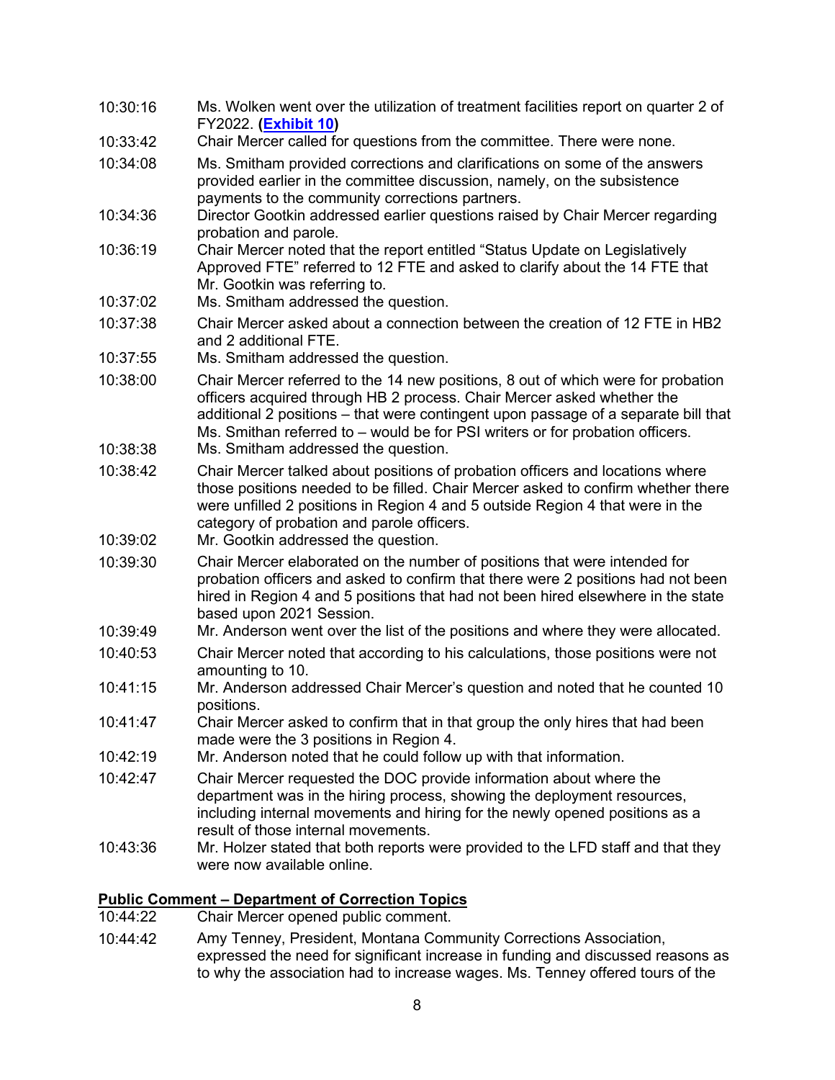| 10:30:16             | Ms. Wolken went over the utilization of treatment facilities report on quarter 2 of<br>FY2022. (Exhibit 10)                                                                                                                                                                                                                             |
|----------------------|-----------------------------------------------------------------------------------------------------------------------------------------------------------------------------------------------------------------------------------------------------------------------------------------------------------------------------------------|
| 10:33:42             | Chair Mercer called for questions from the committee. There were none.                                                                                                                                                                                                                                                                  |
| 10:34:08             | Ms. Smitham provided corrections and clarifications on some of the answers<br>provided earlier in the committee discussion, namely, on the subsistence<br>payments to the community corrections partners.                                                                                                                               |
| 10:34:36             | Director Gootkin addressed earlier questions raised by Chair Mercer regarding<br>probation and parole.                                                                                                                                                                                                                                  |
| 10:36:19             | Chair Mercer noted that the report entitled "Status Update on Legislatively<br>Approved FTE" referred to 12 FTE and asked to clarify about the 14 FTE that<br>Mr. Gootkin was referring to.                                                                                                                                             |
| 10:37:02             | Ms. Smitham addressed the question.                                                                                                                                                                                                                                                                                                     |
| 10:37:38             | Chair Mercer asked about a connection between the creation of 12 FTE in HB2<br>and 2 additional FTE.                                                                                                                                                                                                                                    |
| 10:37:55             | Ms. Smitham addressed the question.                                                                                                                                                                                                                                                                                                     |
| 10:38:00             | Chair Mercer referred to the 14 new positions, 8 out of which were for probation<br>officers acquired through HB 2 process. Chair Mercer asked whether the<br>additional 2 positions - that were contingent upon passage of a separate bill that<br>Ms. Smithan referred to - would be for PSI writers or for probation officers.       |
| 10:38:38             | Ms. Smitham addressed the question.                                                                                                                                                                                                                                                                                                     |
| 10:38:42<br>10:39:02 | Chair Mercer talked about positions of probation officers and locations where<br>those positions needed to be filled. Chair Mercer asked to confirm whether there<br>were unfilled 2 positions in Region 4 and 5 outside Region 4 that were in the<br>category of probation and parole officers.<br>Mr. Gootkin addressed the question. |
| 10:39:30             | Chair Mercer elaborated on the number of positions that were intended for                                                                                                                                                                                                                                                               |
|                      | probation officers and asked to confirm that there were 2 positions had not been<br>hired in Region 4 and 5 positions that had not been hired elsewhere in the state<br>based upon 2021 Session.                                                                                                                                        |
| 10:39:49             | Mr. Anderson went over the list of the positions and where they were allocated.                                                                                                                                                                                                                                                         |
| 10:40:53             | Chair Mercer noted that according to his calculations, those positions were not<br>amounting to 10.                                                                                                                                                                                                                                     |
| 10:41:15             | Mr. Anderson addressed Chair Mercer's question and noted that he counted 10<br>positions.                                                                                                                                                                                                                                               |
| 10:41:47             | Chair Mercer asked to confirm that in that group the only hires that had been<br>made were the 3 positions in Region 4.                                                                                                                                                                                                                 |
| 10:42:19             | Mr. Anderson noted that he could follow up with that information.                                                                                                                                                                                                                                                                       |
| 10:42:47             | Chair Mercer requested the DOC provide information about where the<br>department was in the hiring process, showing the deployment resources,<br>including internal movements and hiring for the newly opened positions as a<br>result of those internal movements.                                                                     |
| 10:43:36             | Mr. Holzer stated that both reports were provided to the LFD staff and that they<br>were now available online.                                                                                                                                                                                                                          |

# **Public Comment – Department of Correction Topics**<br>10:44:22 Chair Mercer opened public comment.

- Chair Mercer opened public comment.
- 10:44:42 Amy Tenney, President, Montana Community Corrections Association, expressed the need for significant increase in funding and discussed reasons as to why the association had to increase wages. Ms. Tenney offered tours of the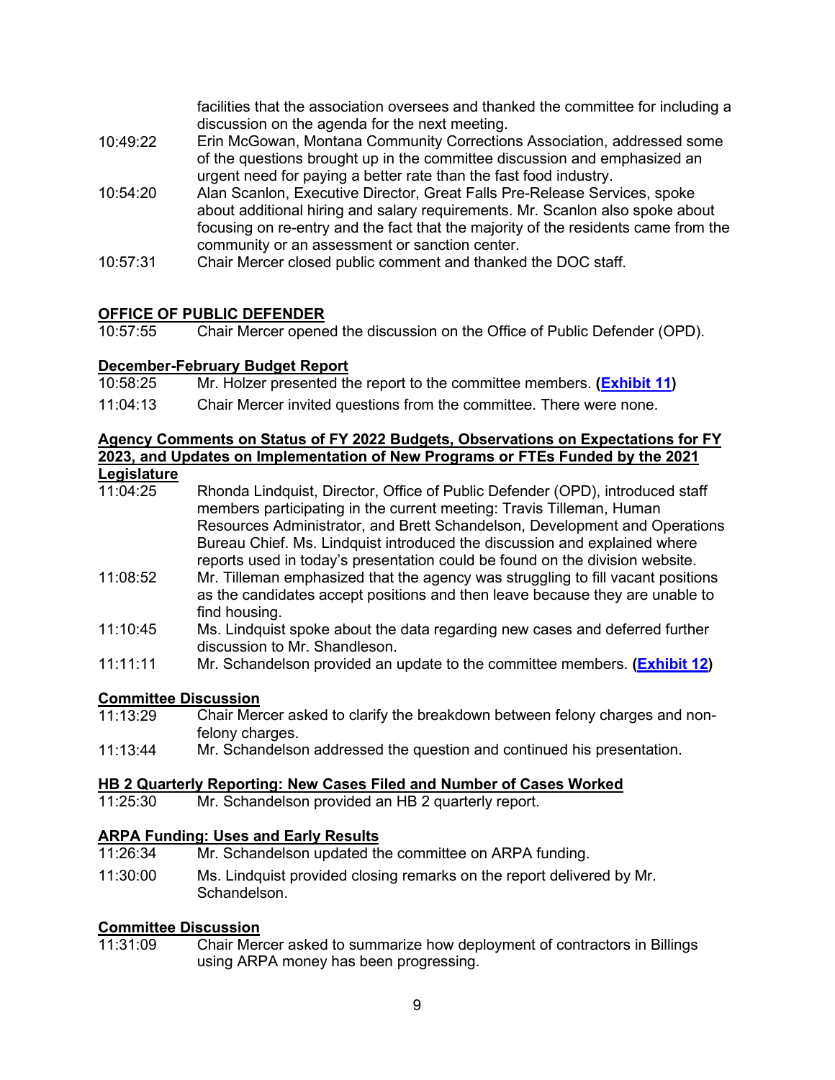facilities that the association oversees and thanked the committee for including a discussion on the agenda for the next meeting.

- 10:49:22 Erin McGowan, Montana Community Corrections Association, addressed some of the questions brought up in the committee discussion and emphasized an urgent need for paying a better rate than the fast food industry.
- 10:54:20 Alan Scanlon, Executive Director, Great Falls Pre-Release Services, spoke about additional hiring and salary requirements. Mr. Scanlon also spoke about focusing on re-entry and the fact that the majority of the residents came from the community or an assessment or sanction center.
- 10:57:31 Chair Mercer closed public comment and thanked the DOC staff.

### **OFFICE OF PUBLIC DEFENDER**<br>10:57:55 Chair Mercer opene

Chair Mercer opened the discussion on the Office of Public Defender (OPD).

### **December-February Budget Report**<br>10:58:25 Mr. Holzer presented th

- Mr. Holzer presented the report to the committee members. **[\(Exhibit 11\)](https://leg.mt.gov/content/publications/fiscal/2023-Interim/FY22-March/OPD.pdf)**
- 11:04:13 Chair Mercer invited questions from the committee. There were none.

#### **Agency Comments on Status of FY 2022 Budgets, Observations on Expectations for FY 2023, and Updates on Implementation of New Programs or FTEs Funded by the 2021 Legislature**

| <u>________</u> |                                                                                                     |
|-----------------|-----------------------------------------------------------------------------------------------------|
| 11:04:25        | Rhonda Lindquist, Director, Office of Public Defender (OPD), introduced staff                       |
|                 | members participating in the current meeting: Travis Tilleman, Human                                |
|                 | Resources Administrator, and Brett Schandelson, Development and Operations                          |
|                 | Bureau Chief. Ms. Lindquist introduced the discussion and explained where                           |
|                 | reports used in today's presentation could be found on the division website.                        |
| 11:08:52        | Mr. Tilleman emphasized that the agency was struggling to fill vacant positions                     |
|                 | لمقاملهما والمستحدث والمسافر ومستحمرها والمتحا ويمانيه والمستحدث والمستحدث ومقوله المستحد والمستحدث |

- as the candidates accept positions and then leave because they are unable to find housing.
- 11:10:45 Ms. Lindquist spoke about the data regarding new cases and deferred further discussion to Mr. Shandleson.
- 11:11:11 Mr. Schandelson provided an update to the committee members. **[\(Exhibit 12\)](https://leg.mt.gov/content/publications/fiscal/2023-Interim/IBC-D/IBC-Materials-March-16-2022.pdf)**

### **Committee Discussion**

- Chair Mercer asked to clarify the breakdown between felony charges and nonfelony charges.
- 11:13:44 Mr. Schandelson addressed the question and continued his presentation.

### **HB 2 Quarterly Reporting: New Cases Filed and Number of Cases Worked**<br>11:25:30 Mr. Schandelson provided an HB 2 quarterly report.

Mr. Schandelson provided an HB 2 quarterly report.

#### **ARPA Funding: Uses and Early Results**

- 11:26:34 Mr. Schandelson updated the committee on ARPA funding.
- 11:30:00 Ms. Lindquist provided closing remarks on the report delivered by Mr. Schandelson.

### **Committee Discussion**

Chair Mercer asked to summarize how deployment of contractors in Billings using ARPA money has been progressing.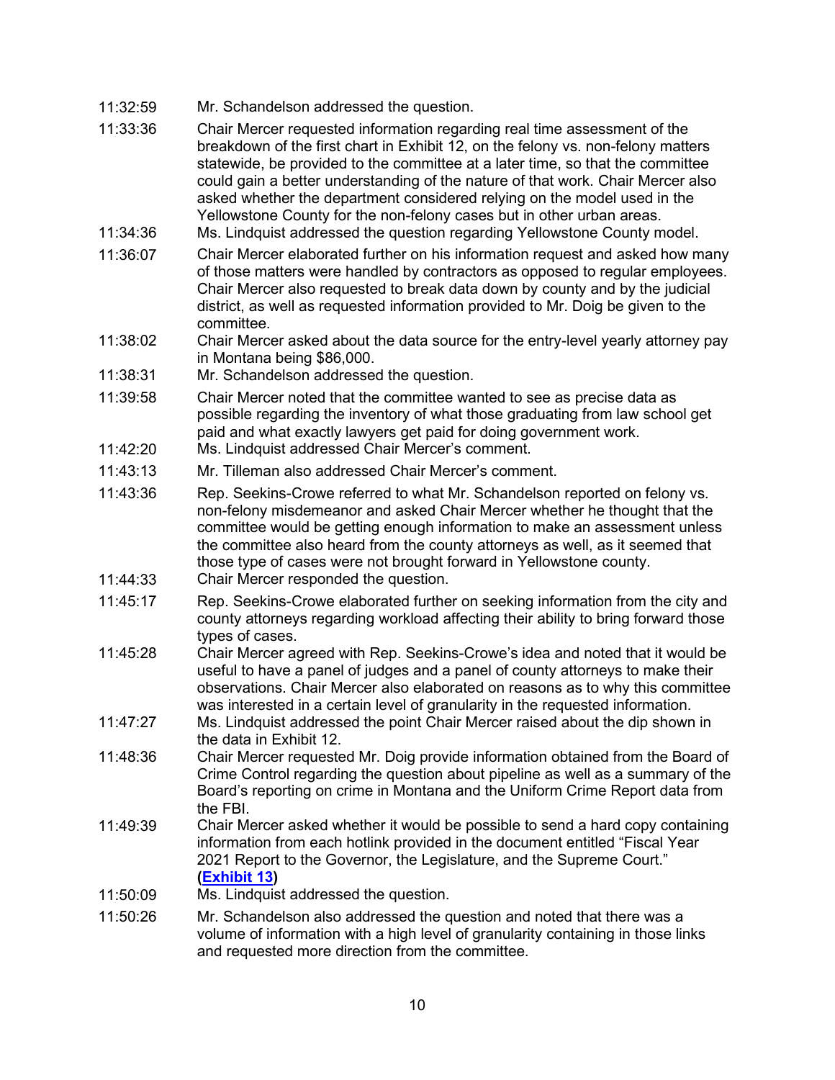- 11:32:59 Mr. Schandelson addressed the question.
- 11:33:36 Chair Mercer requested information regarding real time assessment of the breakdown of the first chart in Exhibit 12, on the felony vs. non-felony matters statewide, be provided to the committee at a later time, so that the committee could gain a better understanding of the nature of that work. Chair Mercer also asked whether the department considered relying on the model used in the Yellowstone County for the non-felony cases but in other urban areas.
- 11:34:36 Ms. Lindquist addressed the question regarding Yellowstone County model.
- 11:36:07 Chair Mercer elaborated further on his information request and asked how many of those matters were handled by contractors as opposed to regular employees. Chair Mercer also requested to break data down by county and by the judicial district, as well as requested information provided to Mr. Doig be given to the committee.
- 11:38:02 Chair Mercer asked about the data source for the entry-level yearly attorney pay in Montana being \$86,000.
- 11:38:31 Mr. Schandelson addressed the question.
- 11:39:58 Chair Mercer noted that the committee wanted to see as precise data as possible regarding the inventory of what those graduating from law school get paid and what exactly lawyers get paid for doing government work.
- 11:42:20 Ms. Lindquist addressed Chair Mercer's comment.
- 11:43:13 Mr. Tilleman also addressed Chair Mercer's comment.
- 11:43:36 Rep. Seekins-Crowe referred to what Mr. Schandelson reported on felony vs. non-felony misdemeanor and asked Chair Mercer whether he thought that the committee would be getting enough information to make an assessment unless the committee also heard from the county attorneys as well, as it seemed that those type of cases were not brought forward in Yellowstone county.
- 11:44:33 Chair Mercer responded the question.
- 11:45:17 Rep. Seekins-Crowe elaborated further on seeking information from the city and county attorneys regarding workload affecting their ability to bring forward those types of cases.
- 11:45:28 Chair Mercer agreed with Rep. Seekins-Crowe's idea and noted that it would be useful to have a panel of judges and a panel of county attorneys to make their observations. Chair Mercer also elaborated on reasons as to why this committee was interested in a certain level of granularity in the requested information.
- 11:47:27 Ms. Lindquist addressed the point Chair Mercer raised about the dip shown in the data in Exhibit 12.
- 11:48:36 Chair Mercer requested Mr. Doig provide information obtained from the Board of Crime Control regarding the question about pipeline as well as a summary of the Board's reporting on crime in Montana and the Uniform Crime Report data from the FBI.
- 11:49:39 Chair Mercer asked whether it would be possible to send a hard copy containing information from each hotlink provided in the document entitled "Fiscal Year 2021 Report to the Governor, the Legislature, and the Supreme Court." **[\(Exhibit 13\)](https://opd.mt.gov/_docs/GovernorsReport/2021/Directors-Letter-FY-2021-Annual-Report.pdf)**
- 11:50:09 Ms. Lindquist addressed the question.
- 11:50:26 Mr. Schandelson also addressed the question and noted that there was a volume of information with a high level of granularity containing in those links and requested more direction from the committee.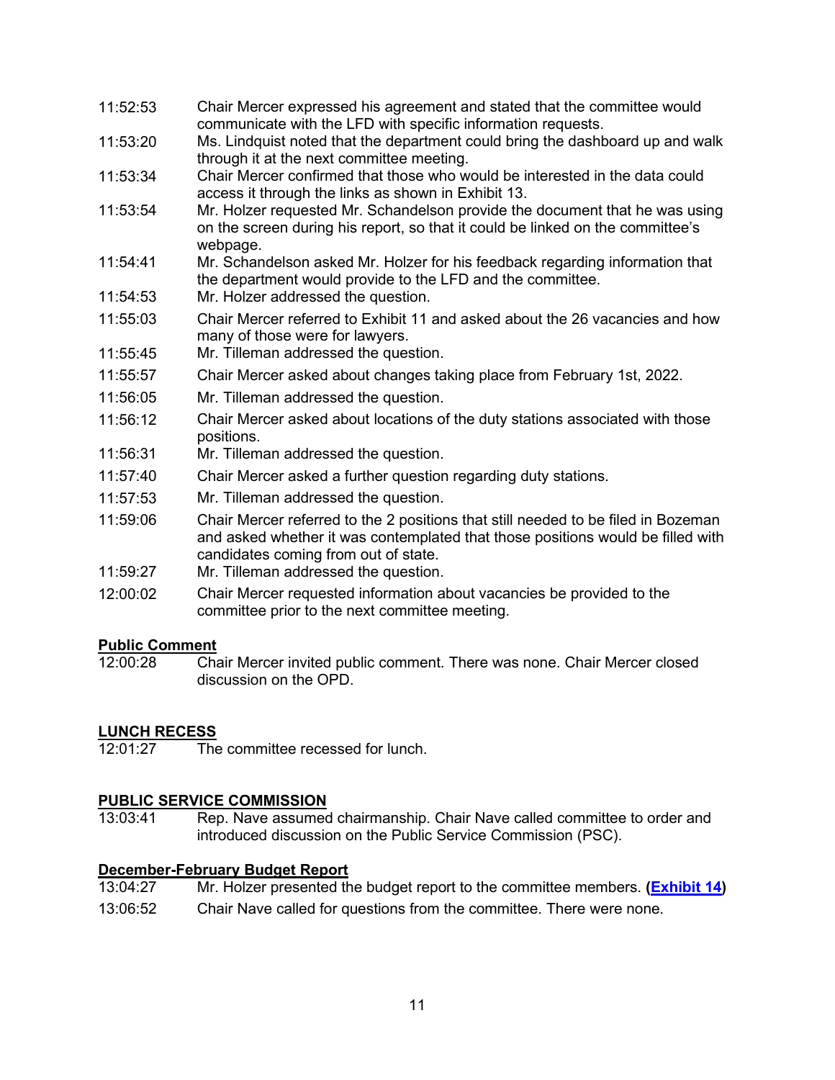- 11:52:53 Chair Mercer expressed his agreement and stated that the committee would communicate with the LFD with specific information requests.
- 11:53:20 Ms. Lindquist noted that the department could bring the dashboard up and walk through it at the next committee meeting.
- 11:53:34 Chair Mercer confirmed that those who would be interested in the data could access it through the links as shown in Exhibit 13.
- 11:53:54 Mr. Holzer requested Mr. Schandelson provide the document that he was using on the screen during his report, so that it could be linked on the committee's webpage.
- 11:54:41 Mr. Schandelson asked Mr. Holzer for his feedback regarding information that the department would provide to the LFD and the committee.
- 11:54:53 Mr. Holzer addressed the question.
- 11:55:03 Chair Mercer referred to Exhibit 11 and asked about the 26 vacancies and how many of those were for lawyers.
- 11:55:45 Mr. Tilleman addressed the question.
- 11:55:57 Chair Mercer asked about changes taking place from February 1st, 2022.
- 11:56:05 Mr. Tilleman addressed the question.
- 11:56:12 Chair Mercer asked about locations of the duty stations associated with those positions.
- 11:56:31 Mr. Tilleman addressed the question.
- 11:57:40 Chair Mercer asked a further question regarding duty stations.
- 11:57:53 Mr. Tilleman addressed the question.
- 11:59:06 Chair Mercer referred to the 2 positions that still needed to be filed in Bozeman and asked whether it was contemplated that those positions would be filled with candidates coming from out of state.
- 11:59:27 Mr. Tilleman addressed the question.
- 12:00:02 Chair Mercer requested information about vacancies be provided to the committee prior to the next committee meeting.

### Public Comment<br>12:00:28 Cha

12:00:28 Chair Mercer invited public comment. There was none. Chair Mercer closed discussion on the OPD.

#### **LUNCH RECESS**

12:01:27 The committee recessed for lunch.

#### **PUBLIC SERVICE COMMISSION**

13:03:41 Rep. Nave assumed chairmanship. Chair Nave called committee to order and introduced discussion on the Public Service Commission (PSC).

### **December-February Budget Report**<br>13:04:27 Mr. Holzer presented th

- 13:04:27 Mr. Holzer presented the budget report to the committee members. **[\(Exhibit 14\)](https://leg.mt.gov/content/publications/fiscal/2023-Interim/FY22-March/PSC.pdf)**
- 13:06:52 Chair Nave called for questions from the committee. There were none.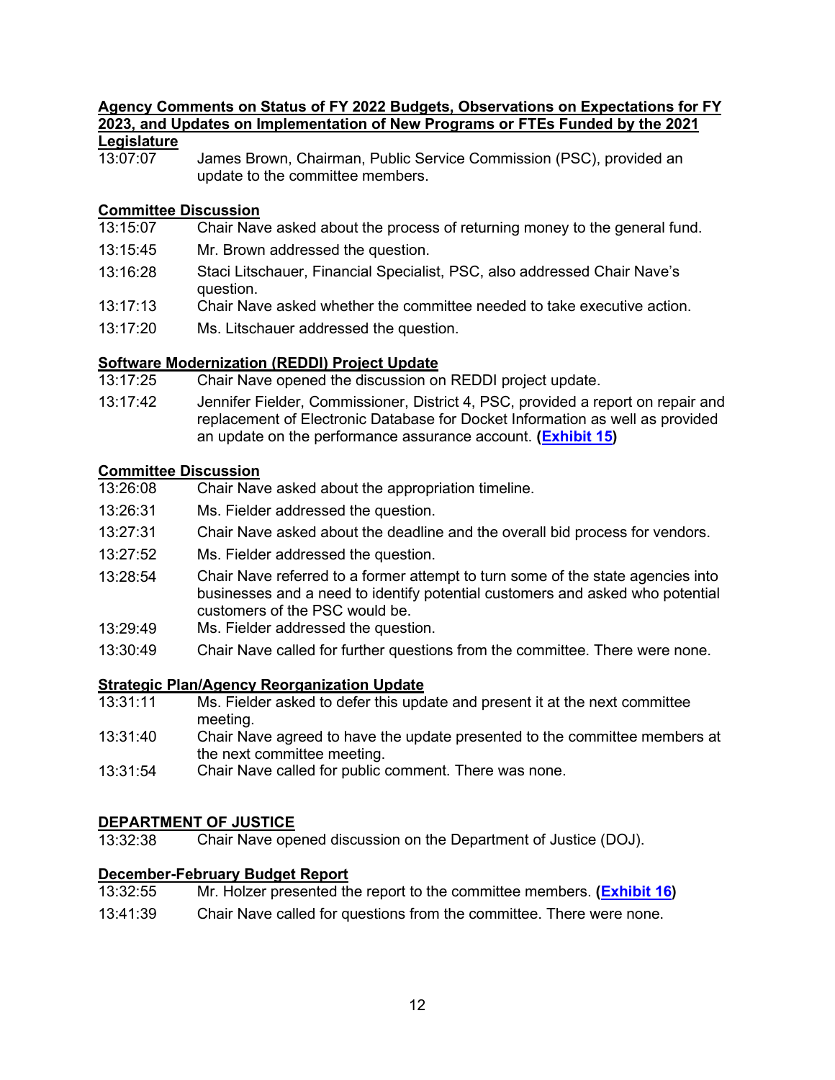### **Agency Comments on Status of FY 2022 Budgets, Observations on Expectations for FY 2023, and Updates on Implementation of New Programs or FTEs Funded by the 2021 Legislature**<br>13:07:07

James Brown, Chairman, Public Service Commission (PSC), provided an update to the committee members.

#### **Committee Discussion**

- 13:15:07 Chair Nave asked about the process of returning money to the general fund.
- 13:15:45 Mr. Brown addressed the question.
- 13:16:28 Staci Litschauer, Financial Specialist, PSC, also addressed Chair Nave's question.
- 13:17:13 Chair Nave asked whether the committee needed to take executive action.
- 13:17:20 Ms. Litschauer addressed the question.

#### **Software Modernization (REDDI) Project Update**

- 13:17:25 Chair Nave opened the discussion on REDDI project update.
- 13:17:42 Jennifer Fielder, Commissioner, District 4, PSC, provided a report on repair and replacement of Electronic Database for Docket Information as well as provided an update on the performance assurance account. **[\(Exhibit 15\)](https://leg.mt.gov/content/publications/fiscal/2023-Interim/IBC-D/MPSC-Preliminary-Report%20-REDDI-adopted-1-25-22.pdf)**

### **Committee Discussion**

- Chair Nave asked about the appropriation timeline.
- 13:26:31 Ms. Fielder addressed the question.
- 13:27:31 Chair Nave asked about the deadline and the overall bid process for vendors.
- 13:27:52 Ms. Fielder addressed the question.
- 13:28:54 Chair Nave referred to a former attempt to turn some of the state agencies into businesses and a need to identify potential customers and asked who potential customers of the PSC would be.
- 13:29:49 Ms. Fielder addressed the question.
- 13:30:49 Chair Nave called for further questions from the committee. There were none.

#### **Strategic Plan/Agency Reorganization Update**

- 13:31:11 Ms. Fielder asked to defer this update and present it at the next committee meeting.
- 13:31:40 Chair Nave agreed to have the update presented to the committee members at the next committee meeting.
- 13:31:54 Chair Nave called for public comment. There was none.

# **DEPARTMENT OF JUSTICE**<br>13:32:38 Chair Nave ope

Chair Nave opened discussion on the Department of Justice (DOJ).

### **December-February Budget Report**<br>13:32:55 Mr. Holzer presented th

- Mr. Holzer presented the report to the committee members. **[\(Exhibit 16\)](https://leg.mt.gov/content/publications/fiscal/2023-Interim/FY22-March/DOJ.pdf)**
- 13:41:39 Chair Nave called for questions from the committee. There were none.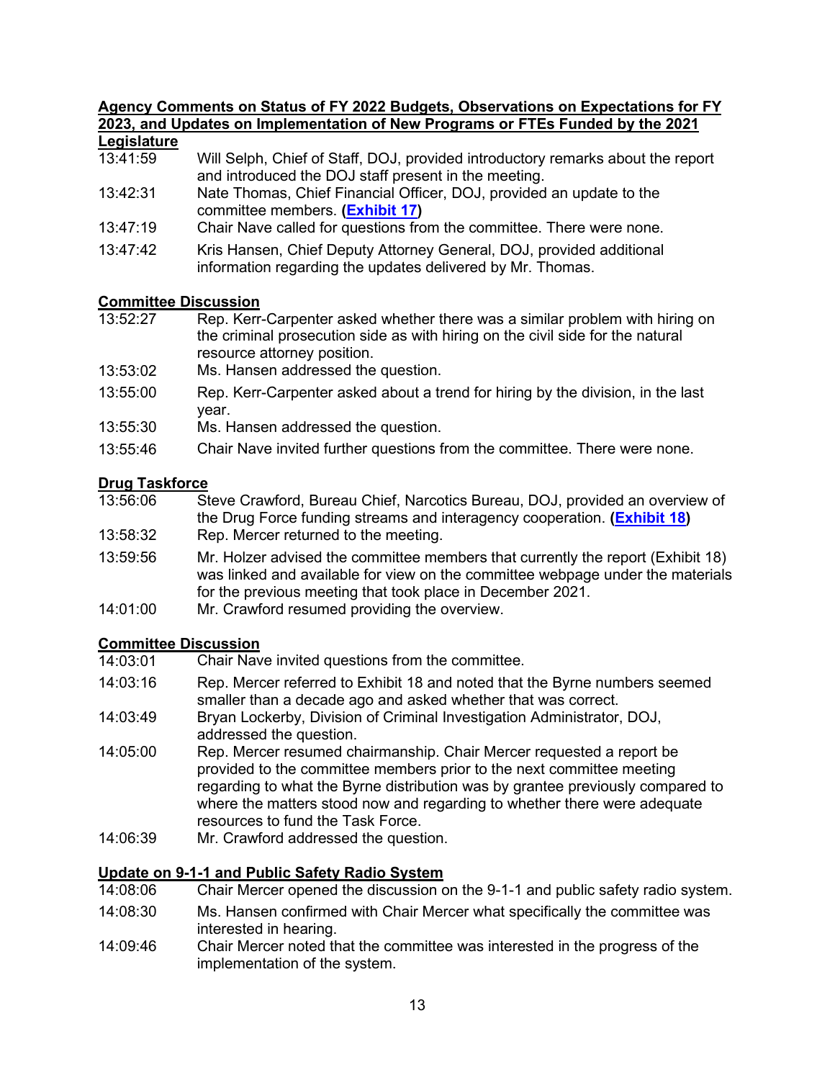#### **Agency Comments on Status of FY 2022 Budgets, Observations on Expectations for FY 2023, and Updates on Implementation of New Programs or FTEs Funded by the 2021 Legislature**

| $-0.91$ . $-0.00$ . $-0.00$ |                                                                                 |
|-----------------------------|---------------------------------------------------------------------------------|
| 13:41:59                    | Will Selph, Chief of Staff, DOJ, provided introductory remarks about the report |
|                             | and introduced the DOJ staff present in the meeting.                            |
| 10.10.21                    | Note Themse, Chief Einensial Officer, $DQI$ provided an undate to the           |

- 13:42:31 Nate Thomas, Chief Financial Officer, DOJ, provided an update to the committee members. **[\(Exhibit 17\)](https://leg.mt.gov/content/publications/fiscal/2023-Interim/IBC-D/Exhibit17.pdf)**
- 13:47:19 Chair Nave called for questions from the committee. There were none.
- 13:47:42 Kris Hansen, Chief Deputy Attorney General, DOJ, provided additional information regarding the updates delivered by Mr. Thomas.

### **Committee Discussion**<br>13:52:27 Rep. Kerr-

- Rep. Kerr-Carpenter asked whether there was a similar problem with hiring on the criminal prosecution side as with hiring on the civil side for the natural resource attorney position.
- 13:53:02 Ms. Hansen addressed the question.
- 13:55:00 Rep. Kerr-Carpenter asked about a trend for hiring by the division, in the last year.
- 13:55:30 Ms. Hansen addressed the question.
- 13:55:46 Chair Nave invited further questions from the committee. There were none.

#### **Drug Taskforce**

- 13:56:06 Steve Crawford, Bureau Chief, Narcotics Bureau, DOJ, provided an overview of the Drug Force funding streams and interagency cooperation. **[\(Exhibit 18\)](https://leg.mt.gov/content/publications/fiscal/2023-Interim/IBC-D/Department-of-Justice-Explanation-of-FTE-Movements.pdf)** 13:58:32 Rep. Mercer returned to the meeting.
- 13:59:56 Mr. Holzer advised the committee members that currently the report (Exhibit 18) was linked and available for view on the committee webpage under the materials for the previous meeting that took place in December 2021.
- 14:01:00 Mr. Crawford resumed providing the overview.

### **Committee Discussion**<br>14:03:01 Chair Nav

- Chair Nave invited questions from the committee.
- 14:03:16 Rep. Mercer referred to Exhibit 18 and noted that the Byrne numbers seemed smaller than a decade ago and asked whether that was correct.
- 14:03:49 Bryan Lockerby, Division of Criminal Investigation Administrator, DOJ, addressed the question.
- 14:05:00 Rep. Mercer resumed chairmanship. Chair Mercer requested a report be provided to the committee members prior to the next committee meeting regarding to what the Byrne distribution was by grantee previously compared to where the matters stood now and regarding to whether there were adequate resources to fund the Task Force.
- 14:06:39 Mr. Crawford addressed the question.

### **Update on 9-1-1 and Public Safety Radio System**

- Chair Mercer opened the discussion on the 9-1-1 and public safety radio system.
- 14:08:30 Ms. Hansen confirmed with Chair Mercer what specifically the committee was interested in hearing.
- 14:09:46 Chair Mercer noted that the committee was interested in the progress of the implementation of the system.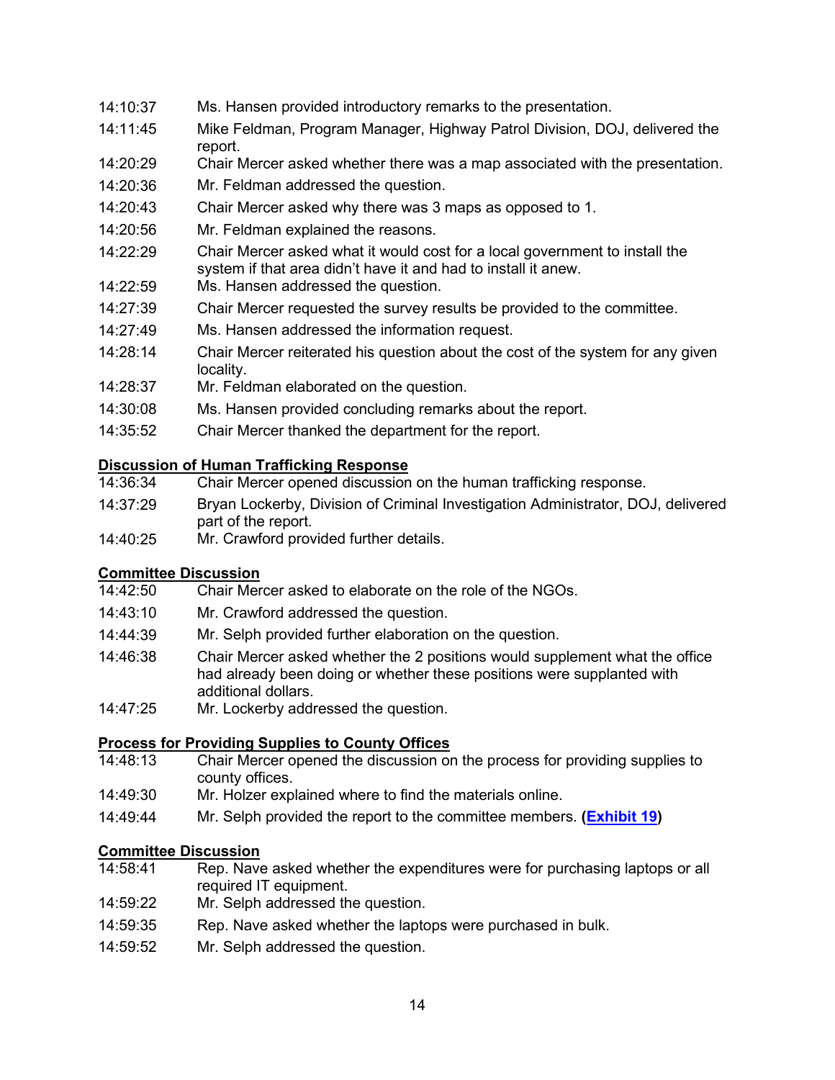#### 14:10:37 Ms. Hansen provided introductory remarks to the presentation.

- 14:11:45 Mike Feldman, Program Manager, Highway Patrol Division, DOJ, delivered the report.
- 14:20:29 Chair Mercer asked whether there was a map associated with the presentation.
- 14:20:36 Mr. Feldman addressed the question.
- 14:20:43 Chair Mercer asked why there was 3 maps as opposed to 1.
- 14:20:56 Mr. Feldman explained the reasons.
- 14:22:29 Chair Mercer asked what it would cost for a local government to install the system if that area didn't have it and had to install it anew.
- 14:22:59 Ms. Hansen addressed the question.
- 14:27:39 Chair Mercer requested the survey results be provided to the committee.
- 14:27:49 Ms. Hansen addressed the information request.
- 14:28:14 Chair Mercer reiterated his question about the cost of the system for any given locality.
- 14:28:37 Mr. Feldman elaborated on the question.
- 14:30:08 Ms. Hansen provided concluding remarks about the report.
- 14:35:52 Chair Mercer thanked the department for the report.

#### **Discussion of Human Trafficking Response**

- 14:36:34 Chair Mercer opened discussion on the human trafficking response.
- 14:37:29 Bryan Lockerby, Division of Criminal Investigation Administrator, DOJ, delivered part of the report.
- 14:40:25 Mr. Crawford provided further details.

#### **Committee Discussion**

- 14:42:50 Chair Mercer asked to elaborate on the role of the NGOs.
- 14:43:10 Mr. Crawford addressed the question.
- 14:44:39 Mr. Selph provided further elaboration on the question.
- 14:46:38 Chair Mercer asked whether the 2 positions would supplement what the office had already been doing or whether these positions were supplanted with additional dollars.
- 14:47:25 Mr. Lockerby addressed the question.

#### **Process for Providing Supplies to County Offices**

- 14:48:13 Chair Mercer opened the discussion on the process for providing supplies to county offices.
- 14:49:30 Mr. Holzer explained where to find the materials online.
- 14:49:44 Mr. Selph provided the report to the committee members. **[\(Exhibit 19\)](https://leg.mt.gov/content/publications/fiscal/2023-Interim/IBC-D/IBC-Presentation-v2.pdf)**

#### **Committee Discussion**

- 14:58:41 Rep. Nave asked whether the expenditures were for purchasing laptops or all required IT equipment.
- 14:59:22 Mr. Selph addressed the question.
- 14:59:35 Rep. Nave asked whether the laptops were purchased in bulk.
- 14:59:52 Mr. Selph addressed the question.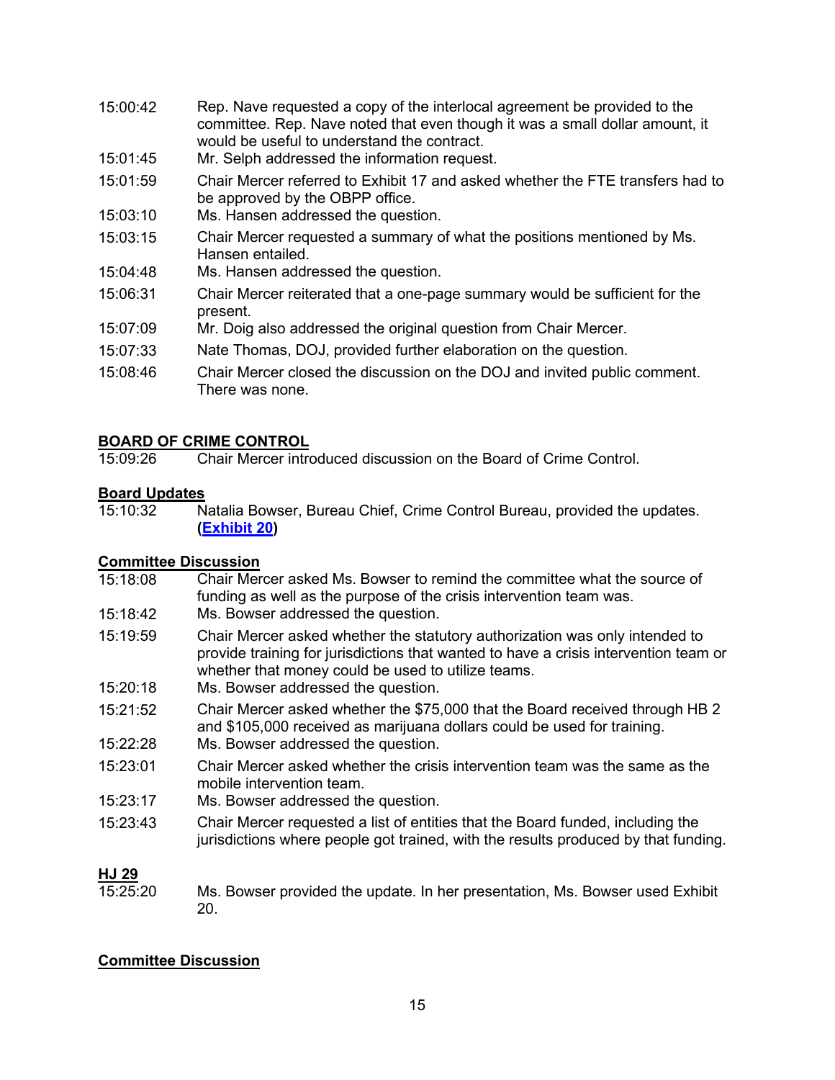- 15:00:42 Rep. Nave requested a copy of the interlocal agreement be provided to the committee. Rep. Nave noted that even though it was a small dollar amount, it would be useful to understand the contract.
- 15:01:45 Mr. Selph addressed the information request.
- 15:01:59 Chair Mercer referred to Exhibit 17 and asked whether the FTE transfers had to be approved by the OBPP office.
- 15:03:10 Ms. Hansen addressed the question.
- 15:03:15 Chair Mercer requested a summary of what the positions mentioned by Ms. Hansen entailed.
- 15:04:48 Ms. Hansen addressed the question.
- 15:06:31 Chair Mercer reiterated that a one-page summary would be sufficient for the present.
- 15:07:09 Mr. Doig also addressed the original question from Chair Mercer.
- 15:07:33 Nate Thomas, DOJ, provided further elaboration on the question.
- 15:08:46 Chair Mercer closed the discussion on the DOJ and invited public comment. There was none.

### **BOARD OF CRIME CONTROL**<br>15:09:26 Chair Mercer intro

Chair Mercer introduced discussion on the Board of Crime Control.

### **Board Updates**

Natalia Bowser, Bureau Chief, Crime Control Bureau, provided the updates. **[\(Exhibit 20\)](https://leg.mt.gov/content/publications/fiscal/2023-Interim/IBC-D/Victim-Services-Report.pdf)** 

### **Committee Discussion**<br>15:18:08 Chair Mer

Chair Mercer asked Ms. Bowser to remind the committee what the source of funding as well as the purpose of the crisis intervention team was. 15:18:42 Ms. Bowser addressed the question. 15:19:59 Chair Mercer asked whether the statutory authorization was only intended to provide training for jurisdictions that wanted to have a crisis intervention team or whether that money could be used to utilize teams. 15:20:18 Ms. Bowser addressed the question. 15:21:52 Chair Mercer asked whether the \$75,000 that the Board received through HB 2 and \$105,000 received as marijuana dollars could be used for training. 15:22:28 Ms. Bowser addressed the question. 15:23:01 Chair Mercer asked whether the crisis intervention team was the same as the mobile intervention team. 15:23:17 Ms. Bowser addressed the question. 15:23:43 Chair Mercer requested a list of entities that the Board funded, including the jurisdictions where people got trained, with the results produced by that funding. **HJ 29**<br>15:25:20

Ms. Bowser provided the update. In her presentation, Ms. Bowser used Exhibit 20.

#### **Committee Discussion**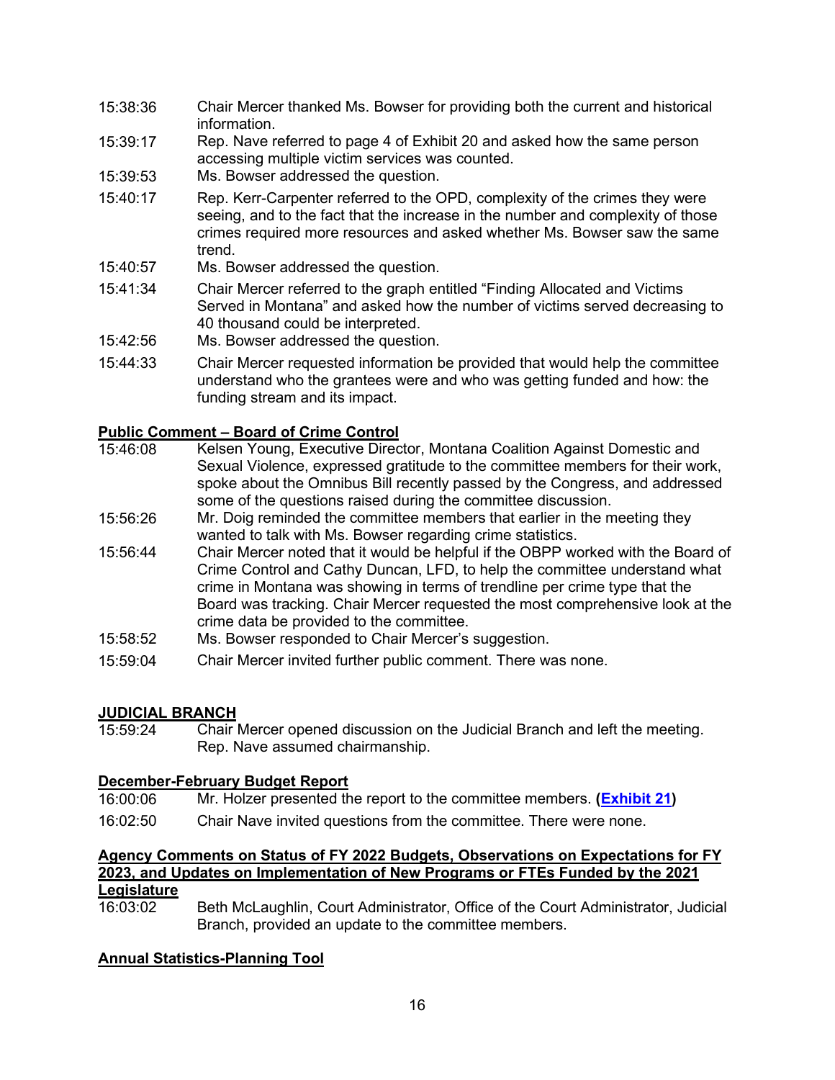- 15:38:36 Chair Mercer thanked Ms. Bowser for providing both the current and historical information.
- 15:39:17 Rep. Nave referred to page 4 of Exhibit 20 and asked how the same person accessing multiple victim services was counted.
- 15:39:53 Ms. Bowser addressed the question.
- 15:40:17 Rep. Kerr-Carpenter referred to the OPD, complexity of the crimes they were seeing, and to the fact that the increase in the number and complexity of those crimes required more resources and asked whether Ms. Bowser saw the same trend.
- 15:40:57 Ms. Bowser addressed the question.
- 15:41:34 Chair Mercer referred to the graph entitled "Finding Allocated and Victims Served in Montana" and asked how the number of victims served decreasing to 40 thousand could be interpreted.
- 15:42:56 Ms. Bowser addressed the question.
- 15:44:33 Chair Mercer requested information be provided that would help the committee understand who the grantees were and who was getting funded and how: the funding stream and its impact.

### **Public Comment – Board of Crime Control**

- Kelsen Young, Executive Director, Montana Coalition Against Domestic and Sexual Violence, expressed gratitude to the committee members for their work, spoke about the Omnibus Bill recently passed by the Congress, and addressed some of the questions raised during the committee discussion.
- 15:56:26 Mr. Doig reminded the committee members that earlier in the meeting they wanted to talk with Ms. Bowser regarding crime statistics.
- 15:56:44 Chair Mercer noted that it would be helpful if the OBPP worked with the Board of Crime Control and Cathy Duncan, LFD, to help the committee understand what crime in Montana was showing in terms of trendline per crime type that the Board was tracking. Chair Mercer requested the most comprehensive look at the crime data be provided to the committee.
- 15:58:52 Ms. Bowser responded to Chair Mercer's suggestion.
- 15:59:04 Chair Mercer invited further public comment. There was none.

### **JUDICIAL BRANCH**<br>15:59:24 Chair I

Chair Mercer opened discussion on the Judicial Branch and left the meeting. Rep. Nave assumed chairmanship.

### **December-February Budget Report**<br>16:00:06 Mr. Holzer presented th

- Mr. Holzer presented the report to the committee members. **[\(Exhibit 21\)](https://leg.mt.gov/content/publications/fiscal/2023-Interim/FY22-March/JUD.pdf)**
- 16:02:50 Chair Nave invited questions from the committee. There were none.

### **Agency Comments on Status of FY 2022 Budgets, Observations on Expectations for FY 2023, and Updates on Implementation of New Programs or FTEs Funded by the 2021**

**Legislature** 16:03:02 Beth McLaughlin, Court Administrator, Office of the Court Administrator, Judicial Branch, provided an update to the committee members.

#### **Annual Statistics-Planning Tool**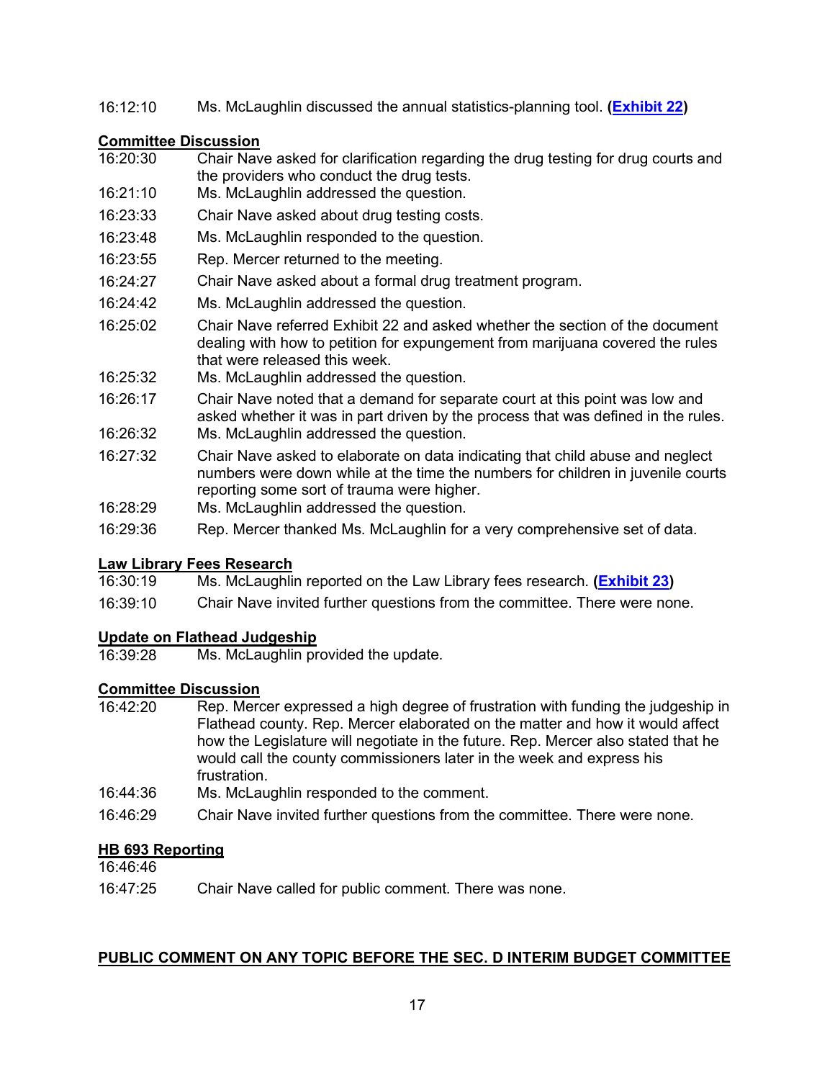#### 16:12:10 Ms. McLaughlin discussed the annual statistics-planning tool. **[\(Exhibit 22\)](https://leg.mt.gov/content/publications/fiscal/2023-Interim/IBC-D/2022-DISTRICT-COURT-CASE-FILING-REVIEW.pdf)**

### **Committee Discussion**

- Chair Nave asked for clarification regarding the drug testing for drug courts and the providers who conduct the drug tests.
- 16:21:10 Ms. McLaughlin addressed the question.
- 16:23:33 Chair Nave asked about drug testing costs.
- 16:23:48 Ms. McLaughlin responded to the question.
- 16:23:55 Rep. Mercer returned to the meeting.
- 16:24:27 Chair Nave asked about a formal drug treatment program.
- 16:24:42 Ms. McLaughlin addressed the question.
- 16:25:02 Chair Nave referred Exhibit 22 and asked whether the section of the document dealing with how to petition for expungement from marijuana covered the rules that were released this week.
- 16:25:32 Ms. McLaughlin addressed the question.
- 16:26:17 Chair Nave noted that a demand for separate court at this point was low and asked whether it was in part driven by the process that was defined in the rules.
- 16:26:32 Ms. McLaughlin addressed the question.
- 16:27:32 Chair Nave asked to elaborate on data indicating that child abuse and neglect numbers were down while at the time the numbers for children in juvenile courts reporting some sort of trauma were higher.
- 16:28:29 Ms. McLaughlin addressed the question.
- 16:29:36 Rep. Mercer thanked Ms. McLaughlin for a very comprehensive set of data.

## **Law Library Fees Research**

- 16:30:19 Ms. McLaughlin reported on the Law Library fees research. **[\(Exhibit 23\)](https://leg.mt.gov/content/publications/fiscal/2023-Interim/IBC-D/Exhibit23.pdf)**
- 16:39:10 Chair Nave invited further questions from the committee. There were none.

### **Update on Flathead Judgeship**<br>16:39:28 Ms. McLaughlin pr

Ms. McLaughlin provided the update.

### **Committee Discussion**<br>16:42:20 Rep. Mero

- Rep. Mercer expressed a high degree of frustration with funding the judgeship in Flathead county. Rep. Mercer elaborated on the matter and how it would affect how the Legislature will negotiate in the future. Rep. Mercer also stated that he would call the county commissioners later in the week and express his frustration.
- 16:44:36 Ms. McLaughlin responded to the comment.
- 16:46:29 Chair Nave invited further questions from the committee. There were none.

#### **HB 693 Reporting**

16:46:46

16:47:25 Chair Nave called for public comment. There was none.

#### **PUBLIC COMMENT ON ANY TOPIC BEFORE THE SEC. D INTERIM BUDGET COMMITTEE**